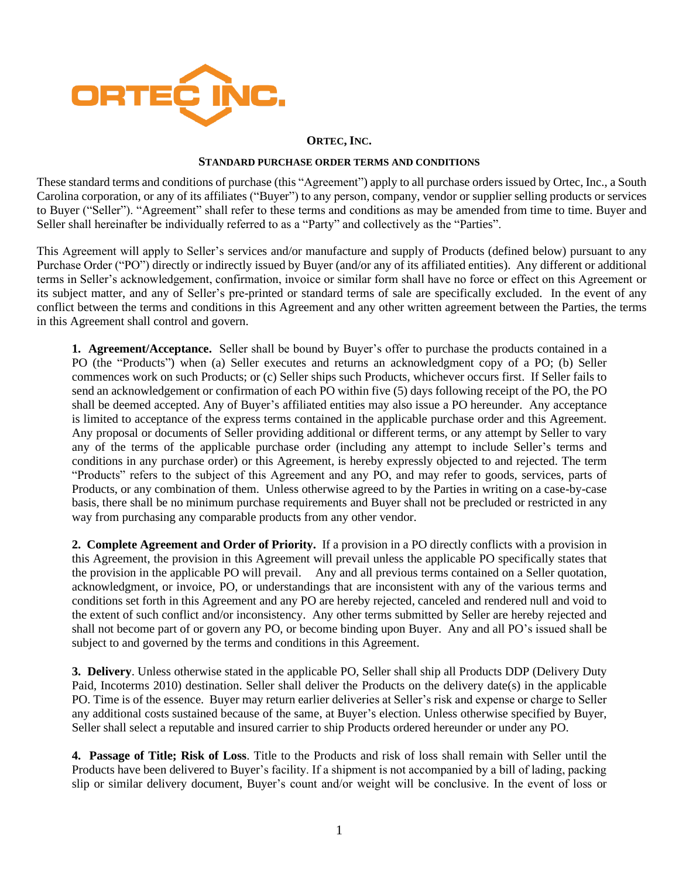

## **ORTEC, INC.**

## **STANDARD PURCHASE ORDER TERMS AND CONDITIONS**

These standard terms and conditions of purchase (this "Agreement") apply to all purchase orders issued by Ortec, Inc., a South Carolina corporation, or any of its affiliates ("Buyer") to any person, company, vendor or supplier selling products or services to Buyer ("Seller"). "Agreement" shall refer to these terms and conditions as may be amended from time to time. Buyer and Seller shall hereinafter be individually referred to as a "Party" and collectively as the "Parties".

This Agreement will apply to Seller's services and/or manufacture and supply of Products (defined below) pursuant to any Purchase Order ("PO") directly or indirectly issued by Buyer (and/or any of its affiliated entities). Any different or additional terms in Seller's acknowledgement, confirmation, invoice or similar form shall have no force or effect on this Agreement or its subject matter, and any of Seller's pre-printed or standard terms of sale are specifically excluded. In the event of any conflict between the terms and conditions in this Agreement and any other written agreement between the Parties, the terms in this Agreement shall control and govern.

**1. Agreement/Acceptance.** Seller shall be bound by Buyer's offer to purchase the products contained in a PO (the "Products") when (a) Seller executes and returns an acknowledgment copy of a PO; (b) Seller commences work on such Products; or (c) Seller ships such Products, whichever occurs first. If Seller fails to send an acknowledgement or confirmation of each PO within five (5) days following receipt of the PO, the PO shall be deemed accepted. Any of Buyer's affiliated entities may also issue a PO hereunder. Any acceptance is limited to acceptance of the express terms contained in the applicable purchase order and this Agreement. Any proposal or documents of Seller providing additional or different terms, or any attempt by Seller to vary any of the terms of the applicable purchase order (including any attempt to include Seller's terms and conditions in any purchase order) or this Agreement, is hereby expressly objected to and rejected. The term "Products" refers to the subject of this Agreement and any PO, and may refer to goods, services, parts of Products, or any combination of them. Unless otherwise agreed to by the Parties in writing on a case-by-case basis, there shall be no minimum purchase requirements and Buyer shall not be precluded or restricted in any way from purchasing any comparable products from any other vendor.

**2. Complete Agreement and Order of Priority.** If a provision in a PO directly conflicts with a provision in this Agreement, the provision in this Agreement will prevail unless the applicable PO specifically states that the provision in the applicable PO will prevail. Any and all previous terms contained on a Seller quotation, acknowledgment, or invoice, PO, or understandings that are inconsistent with any of the various terms and conditions set forth in this Agreement and any PO are hereby rejected, canceled and rendered null and void to the extent of such conflict and/or inconsistency. Any other terms submitted by Seller are hereby rejected and shall not become part of or govern any PO, or become binding upon Buyer. Any and all PO's issued shall be subject to and governed by the terms and conditions in this Agreement.

**3. Delivery**. Unless otherwise stated in the applicable PO, Seller shall ship all Products DDP (Delivery Duty Paid, Incoterms 2010) destination. Seller shall deliver the Products on the delivery date(s) in the applicable PO. Time is of the essence. Buyer may return earlier deliveries at Seller's risk and expense or charge to Seller any additional costs sustained because of the same, at Buyer's election. Unless otherwise specified by Buyer, Seller shall select a reputable and insured carrier to ship Products ordered hereunder or under any PO.

**4. Passage of Title; Risk of Loss**. Title to the Products and risk of loss shall remain with Seller until the Products have been delivered to Buyer's facility. If a shipment is not accompanied by a bill of lading, packing slip or similar delivery document, Buyer's count and/or weight will be conclusive. In the event of loss or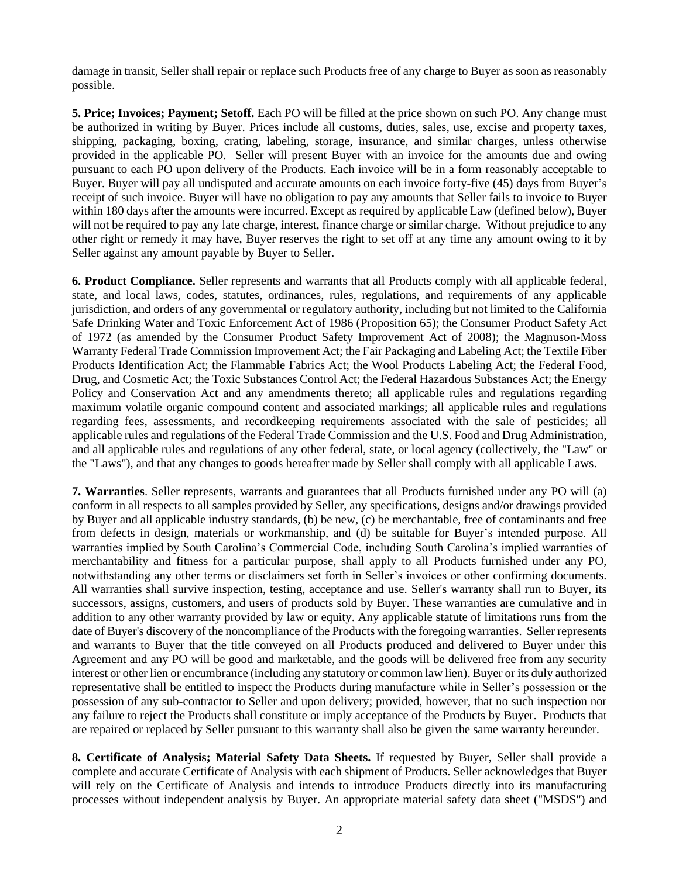damage in transit, Seller shall repair or replace such Products free of any charge to Buyer as soon as reasonably possible.

**5. Price; Invoices; Payment; Setoff.** Each PO will be filled at the price shown on such PO. Any change must be authorized in writing by Buyer. Prices include all customs, duties, sales, use, excise and property taxes, shipping, packaging, boxing, crating, labeling, storage, insurance, and similar charges, unless otherwise provided in the applicable PO. Seller will present Buyer with an invoice for the amounts due and owing pursuant to each PO upon delivery of the Products. Each invoice will be in a form reasonably acceptable to Buyer. Buyer will pay all undisputed and accurate amounts on each invoice forty-five (45) days from Buyer's receipt of such invoice. Buyer will have no obligation to pay any amounts that Seller fails to invoice to Buyer within 180 days after the amounts were incurred. Except as required by applicable Law (defined below), Buyer will not be required to pay any late charge, interest, finance charge or similar charge. Without prejudice to any other right or remedy it may have, Buyer reserves the right to set off at any time any amount owing to it by Seller against any amount payable by Buyer to Seller.

**6. Product Compliance.** Seller represents and warrants that all Products comply with all applicable federal, state, and local laws, codes, statutes, ordinances, rules, regulations, and requirements of any applicable jurisdiction, and orders of any governmental or regulatory authority, including but not limited to the California Safe Drinking Water and Toxic Enforcement Act of 1986 (Proposition 65); the Consumer Product Safety Act of 1972 (as amended by the Consumer Product Safety Improvement Act of 2008); the Magnuson-Moss Warranty Federal Trade Commission Improvement Act; the Fair Packaging and Labeling Act; the Textile Fiber Products Identification Act; the Flammable Fabrics Act; the Wool Products Labeling Act; the Federal Food, Drug, and Cosmetic Act; the Toxic Substances Control Act; the Federal Hazardous Substances Act; the Energy Policy and Conservation Act and any amendments thereto; all applicable rules and regulations regarding maximum volatile organic compound content and associated markings; all applicable rules and regulations regarding fees, assessments, and recordkeeping requirements associated with the sale of pesticides; all applicable rules and regulations of the Federal Trade Commission and the U.S. Food and Drug Administration, and all applicable rules and regulations of any other federal, state, or local agency (collectively, the "Law" or the "Laws"), and that any changes to goods hereafter made by Seller shall comply with all applicable Laws.

**7. Warranties**. Seller represents, warrants and guarantees that all Products furnished under any PO will (a) conform in all respects to all samples provided by Seller, any specifications, designs and/or drawings provided by Buyer and all applicable industry standards, (b) be new, (c) be merchantable, free of contaminants and free from defects in design, materials or workmanship, and (d) be suitable for Buyer's intended purpose. All warranties implied by South Carolina's Commercial Code, including South Carolina's implied warranties of merchantability and fitness for a particular purpose, shall apply to all Products furnished under any PO, notwithstanding any other terms or disclaimers set forth in Seller's invoices or other confirming documents. All warranties shall survive inspection, testing, acceptance and use. Seller's warranty shall run to Buyer, its successors, assigns, customers, and users of products sold by Buyer. These warranties are cumulative and in addition to any other warranty provided by law or equity. Any applicable statute of limitations runs from the date of Buyer's discovery of the noncompliance of the Products with the foregoing warranties. Seller represents and warrants to Buyer that the title conveyed on all Products produced and delivered to Buyer under this Agreement and any PO will be good and marketable, and the goods will be delivered free from any security interest or other lien or encumbrance (including any statutory or common law lien). Buyer or its duly authorized representative shall be entitled to inspect the Products during manufacture while in Seller's possession or the possession of any sub-contractor to Seller and upon delivery; provided, however, that no such inspection nor any failure to reject the Products shall constitute or imply acceptance of the Products by Buyer. Products that are repaired or replaced by Seller pursuant to this warranty shall also be given the same warranty hereunder.

**8. Certificate of Analysis; Material Safety Data Sheets.** If requested by Buyer, Seller shall provide a complete and accurate Certificate of Analysis with each shipment of Products. Seller acknowledges that Buyer will rely on the Certificate of Analysis and intends to introduce Products directly into its manufacturing processes without independent analysis by Buyer. An appropriate material safety data sheet ("MSDS") and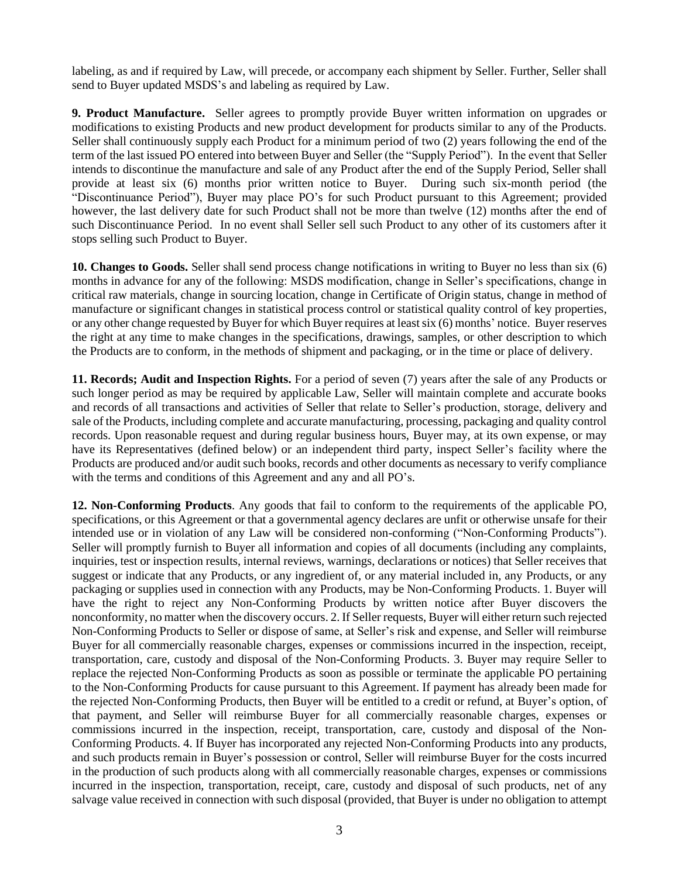labeling, as and if required by Law, will precede, or accompany each shipment by Seller. Further, Seller shall send to Buyer updated MSDS's and labeling as required by Law.

**9. Product Manufacture.** Seller agrees to promptly provide Buyer written information on upgrades or modifications to existing Products and new product development for products similar to any of the Products. Seller shall continuously supply each Product for a minimum period of two (2) years following the end of the term of the last issued PO entered into between Buyer and Seller (the "Supply Period"). In the event that Seller intends to discontinue the manufacture and sale of any Product after the end of the Supply Period, Seller shall provide at least six (6) months prior written notice to Buyer. During such six-month period (the "Discontinuance Period"), Buyer may place PO's for such Product pursuant to this Agreement; provided however, the last delivery date for such Product shall not be more than twelve (12) months after the end of such Discontinuance Period. In no event shall Seller sell such Product to any other of its customers after it stops selling such Product to Buyer.

**10. Changes to Goods.** Seller shall send process change notifications in writing to Buyer no less than six (6) months in advance for any of the following: MSDS modification, change in Seller's specifications, change in critical raw materials, change in sourcing location, change in Certificate of Origin status, change in method of manufacture or significant changes in statistical process control or statistical quality control of key properties, or any other change requested by Buyer for which Buyer requires at least six (6) months' notice. Buyer reserves the right at any time to make changes in the specifications, drawings, samples, or other description to which the Products are to conform, in the methods of shipment and packaging, or in the time or place of delivery.

**11. Records; Audit and Inspection Rights.** For a period of seven (7) years after the sale of any Products or such longer period as may be required by applicable Law, Seller will maintain complete and accurate books and records of all transactions and activities of Seller that relate to Seller's production, storage, delivery and sale of the Products, including complete and accurate manufacturing, processing, packaging and quality control records. Upon reasonable request and during regular business hours, Buyer may, at its own expense, or may have its Representatives (defined below) or an independent third party, inspect Seller's facility where the Products are produced and/or audit such books, records and other documents as necessary to verify compliance with the terms and conditions of this Agreement and any and all PO's.

**12. Non-Conforming Products**. Any goods that fail to conform to the requirements of the applicable PO, specifications, or this Agreement or that a governmental agency declares are unfit or otherwise unsafe for their intended use or in violation of any Law will be considered non-conforming ("Non-Conforming Products"). Seller will promptly furnish to Buyer all information and copies of all documents (including any complaints, inquiries, test or inspection results, internal reviews, warnings, declarations or notices) that Seller receives that suggest or indicate that any Products, or any ingredient of, or any material included in, any Products, or any packaging or supplies used in connection with any Products, may be Non-Conforming Products. 1. Buyer will have the right to reject any Non-Conforming Products by written notice after Buyer discovers the nonconformity, no matter when the discovery occurs. 2. If Seller requests, Buyer will either return such rejected Non-Conforming Products to Seller or dispose of same, at Seller's risk and expense, and Seller will reimburse Buyer for all commercially reasonable charges, expenses or commissions incurred in the inspection, receipt, transportation, care, custody and disposal of the Non-Conforming Products. 3. Buyer may require Seller to replace the rejected Non-Conforming Products as soon as possible or terminate the applicable PO pertaining to the Non-Conforming Products for cause pursuant to this Agreement. If payment has already been made for the rejected Non-Conforming Products, then Buyer will be entitled to a credit or refund, at Buyer's option, of that payment, and Seller will reimburse Buyer for all commercially reasonable charges, expenses or commissions incurred in the inspection, receipt, transportation, care, custody and disposal of the Non-Conforming Products. 4. If Buyer has incorporated any rejected Non-Conforming Products into any products, and such products remain in Buyer's possession or control, Seller will reimburse Buyer for the costs incurred in the production of such products along with all commercially reasonable charges, expenses or commissions incurred in the inspection, transportation, receipt, care, custody and disposal of such products, net of any salvage value received in connection with such disposal (provided, that Buyer is under no obligation to attempt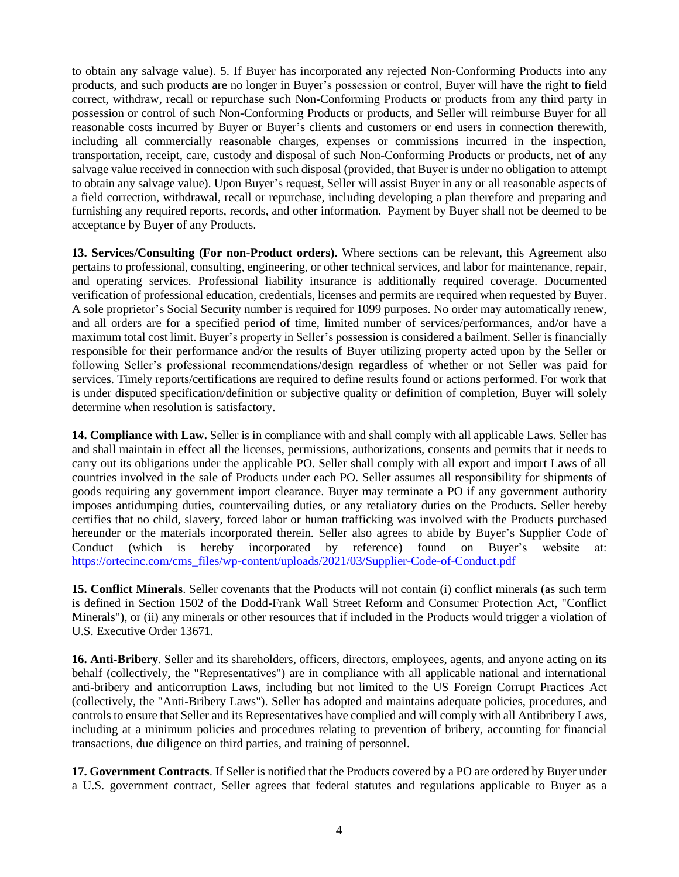to obtain any salvage value). 5. If Buyer has incorporated any rejected Non-Conforming Products into any products, and such products are no longer in Buyer's possession or control, Buyer will have the right to field correct, withdraw, recall or repurchase such Non-Conforming Products or products from any third party in possession or control of such Non-Conforming Products or products, and Seller will reimburse Buyer for all reasonable costs incurred by Buyer or Buyer's clients and customers or end users in connection therewith, including all commercially reasonable charges, expenses or commissions incurred in the inspection, transportation, receipt, care, custody and disposal of such Non-Conforming Products or products, net of any salvage value received in connection with such disposal (provided, that Buyer is under no obligation to attempt to obtain any salvage value). Upon Buyer's request, Seller will assist Buyer in any or all reasonable aspects of a field correction, withdrawal, recall or repurchase, including developing a plan therefore and preparing and furnishing any required reports, records, and other information. Payment by Buyer shall not be deemed to be acceptance by Buyer of any Products.

**13. Services/Consulting (For non-Product orders).** Where sections can be relevant, this Agreement also pertains to professional, consulting, engineering, or other technical services, and labor for maintenance, repair, and operating services. Professional liability insurance is additionally required coverage. Documented verification of professional education, credentials, licenses and permits are required when requested by Buyer. A sole proprietor's Social Security number is required for 1099 purposes. No order may automatically renew, and all orders are for a specified period of time, limited number of services/performances, and/or have a maximum total cost limit. Buyer's property in Seller's possession is considered a bailment. Seller is financially responsible for their performance and/or the results of Buyer utilizing property acted upon by the Seller or following Seller's professional recommendations/design regardless of whether or not Seller was paid for services. Timely reports/certifications are required to define results found or actions performed. For work that is under disputed specification/definition or subjective quality or definition of completion, Buyer will solely determine when resolution is satisfactory.

**14. Compliance with Law.** Seller is in compliance with and shall comply with all applicable Laws. Seller has and shall maintain in effect all the licenses, permissions, authorizations, consents and permits that it needs to carry out its obligations under the applicable PO. Seller shall comply with all export and import Laws of all countries involved in the sale of Products under each PO. Seller assumes all responsibility for shipments of goods requiring any government import clearance. Buyer may terminate a PO if any government authority imposes antidumping duties, countervailing duties, or any retaliatory duties on the Products. Seller hereby certifies that no child, slavery, forced labor or human trafficking was involved with the Products purchased hereunder or the materials incorporated therein. Seller also agrees to abide by Buyer's Supplier Code of Conduct (which is hereby incorporated by reference) found on Buyer's website at: [https://ortecinc.com/cms\\_files/wp-content/uploads/2021/03/Supplier-Code-of-Conduct.pdf](https://ortecinc.com/cms_files/wp-content/uploads/2021/03/Supplier-Code-of-Conduct.pdf)

**15. Conflict Minerals**. Seller covenants that the Products will not contain (i) conflict minerals (as such term is defined in Section 1502 of the Dodd-Frank Wall Street Reform and Consumer Protection Act, "Conflict Minerals"), or (ii) any minerals or other resources that if included in the Products would trigger a violation of U.S. Executive Order 13671.

**16. Anti-Bribery**. Seller and its shareholders, officers, directors, employees, agents, and anyone acting on its behalf (collectively, the "Representatives") are in compliance with all applicable national and international anti-bribery and anticorruption Laws, including but not limited to the US Foreign Corrupt Practices Act (collectively, the "Anti-Bribery Laws"). Seller has adopted and maintains adequate policies, procedures, and controls to ensure that Seller and its Representatives have complied and will comply with all Antibribery Laws, including at a minimum policies and procedures relating to prevention of bribery, accounting for financial transactions, due diligence on third parties, and training of personnel.

**17. Government Contracts**. If Seller is notified that the Products covered by a PO are ordered by Buyer under a U.S. government contract, Seller agrees that federal statutes and regulations applicable to Buyer as a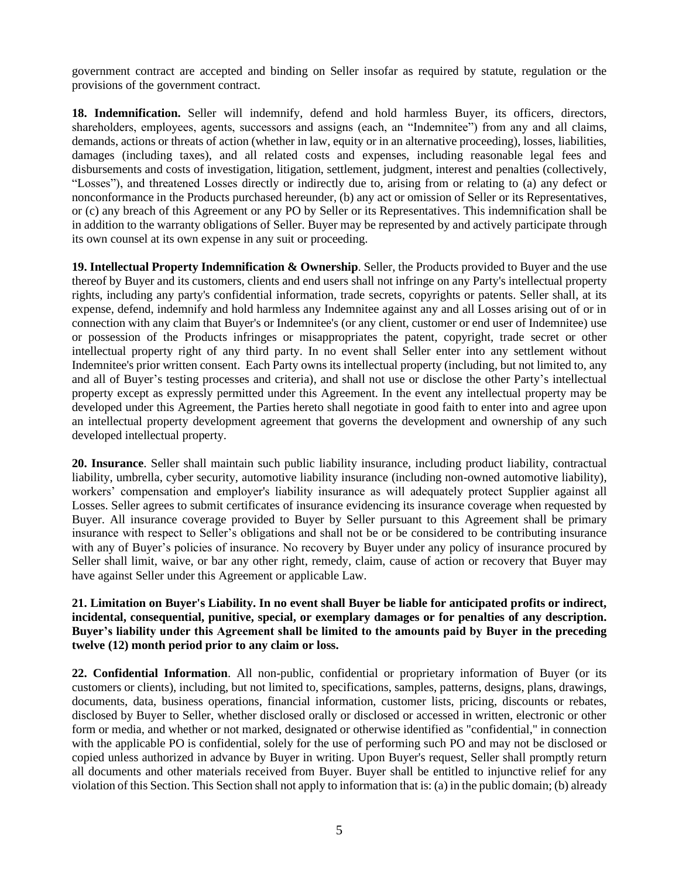government contract are accepted and binding on Seller insofar as required by statute, regulation or the provisions of the government contract.

**18. Indemnification.** Seller will indemnify, defend and hold harmless Buyer, its officers, directors, shareholders, employees, agents, successors and assigns (each, an "Indemnitee") from any and all claims, demands, actions or threats of action (whether in law, equity or in an alternative proceeding), losses, liabilities, damages (including taxes), and all related costs and expenses, including reasonable legal fees and disbursements and costs of investigation, litigation, settlement, judgment, interest and penalties (collectively, "Losses"), and threatened Losses directly or indirectly due to, arising from or relating to (a) any defect or nonconformance in the Products purchased hereunder, (b) any act or omission of Seller or its Representatives, or (c) any breach of this Agreement or any PO by Seller or its Representatives. This indemnification shall be in addition to the warranty obligations of Seller. Buyer may be represented by and actively participate through its own counsel at its own expense in any suit or proceeding.

**19. Intellectual Property Indemnification & Ownership**. Seller, the Products provided to Buyer and the use thereof by Buyer and its customers, clients and end users shall not infringe on any Party's intellectual property rights, including any party's confidential information, trade secrets, copyrights or patents. Seller shall, at its expense, defend, indemnify and hold harmless any Indemnitee against any and all Losses arising out of or in connection with any claim that Buyer's or Indemnitee's (or any client, customer or end user of Indemnitee) use or possession of the Products infringes or misappropriates the patent, copyright, trade secret or other intellectual property right of any third party. In no event shall Seller enter into any settlement without Indemnitee's prior written consent. Each Party owns its intellectual property (including, but not limited to, any and all of Buyer's testing processes and criteria), and shall not use or disclose the other Party's intellectual property except as expressly permitted under this Agreement. In the event any intellectual property may be developed under this Agreement, the Parties hereto shall negotiate in good faith to enter into and agree upon an intellectual property development agreement that governs the development and ownership of any such developed intellectual property.

**20. Insurance**. Seller shall maintain such public liability insurance, including product liability, contractual liability, umbrella, cyber security, automotive liability insurance (including non-owned automotive liability), workers' compensation and employer's liability insurance as will adequately protect Supplier against all Losses. Seller agrees to submit certificates of insurance evidencing its insurance coverage when requested by Buyer. All insurance coverage provided to Buyer by Seller pursuant to this Agreement shall be primary insurance with respect to Seller's obligations and shall not be or be considered to be contributing insurance with any of Buyer's policies of insurance. No recovery by Buyer under any policy of insurance procured by Seller shall limit, waive, or bar any other right, remedy, claim, cause of action or recovery that Buyer may have against Seller under this Agreement or applicable Law.

## **21. Limitation on Buyer's Liability. In no event shall Buyer be liable for anticipated profits or indirect, incidental, consequential, punitive, special, or exemplary damages or for penalties of any description. Buyer's liability under this Agreement shall be limited to the amounts paid by Buyer in the preceding twelve (12) month period prior to any claim or loss.**

**22. Confidential Information**. All non-public, confidential or proprietary information of Buyer (or its customers or clients), including, but not limited to, specifications, samples, patterns, designs, plans, drawings, documents, data, business operations, financial information, customer lists, pricing, discounts or rebates, disclosed by Buyer to Seller, whether disclosed orally or disclosed or accessed in written, electronic or other form or media, and whether or not marked, designated or otherwise identified as "confidential," in connection with the applicable PO is confidential, solely for the use of performing such PO and may not be disclosed or copied unless authorized in advance by Buyer in writing. Upon Buyer's request, Seller shall promptly return all documents and other materials received from Buyer. Buyer shall be entitled to injunctive relief for any violation of this Section. This Section shall not apply to information that is: (a) in the public domain; (b) already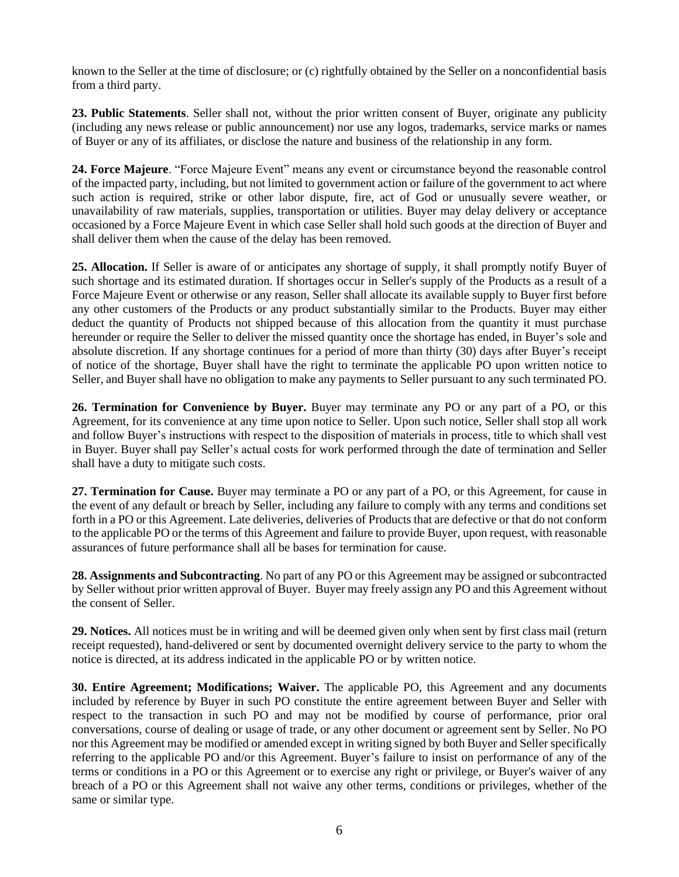known to the Seller at the time of disclosure; or (c) rightfully obtained by the Seller on a nonconfidential basis from a third party.

**23. Public Statements**. Seller shall not, without the prior written consent of Buyer, originate any publicity (including any news release or public announcement) nor use any logos, trademarks, service marks or names of Buyer or any of its affiliates, or disclose the nature and business of the relationship in any form.

**24. Force Majeure**. "Force Majeure Event" means any event or circumstance beyond the reasonable control of the impacted party, including, but not limited to government action or failure of the government to act where such action is required, strike or other labor dispute, fire, act of God or unusually severe weather, or unavailability of raw materials, supplies, transportation or utilities. Buyer may delay delivery or acceptance occasioned by a Force Majeure Event in which case Seller shall hold such goods at the direction of Buyer and shall deliver them when the cause of the delay has been removed.

**25. Allocation.** If Seller is aware of or anticipates any shortage of supply, it shall promptly notify Buyer of such shortage and its estimated duration. If shortages occur in Seller's supply of the Products as a result of a Force Majeure Event or otherwise or any reason, Seller shall allocate its available supply to Buyer first before any other customers of the Products or any product substantially similar to the Products. Buyer may either deduct the quantity of Products not shipped because of this allocation from the quantity it must purchase hereunder or require the Seller to deliver the missed quantity once the shortage has ended, in Buyer's sole and absolute discretion. If any shortage continues for a period of more than thirty (30) days after Buyer's receipt of notice of the shortage, Buyer shall have the right to terminate the applicable PO upon written notice to Seller, and Buyer shall have no obligation to make any payments to Seller pursuant to any such terminated PO.

**26. Termination for Convenience by Buyer.** Buyer may terminate any PO or any part of a PO, or this Agreement, for its convenience at any time upon notice to Seller. Upon such notice, Seller shall stop all work and follow Buyer's instructions with respect to the disposition of materials in process, title to which shall vest in Buyer. Buyer shall pay Seller's actual costs for work performed through the date of termination and Seller shall have a duty to mitigate such costs.

**27. Termination for Cause.** Buyer may terminate a PO or any part of a PO, or this Agreement, for cause in the event of any default or breach by Seller, including any failure to comply with any terms and conditions set forth in a PO or this Agreement. Late deliveries, deliveries of Products that are defective or that do not conform to the applicable PO or the terms of this Agreement and failure to provide Buyer, upon request, with reasonable assurances of future performance shall all be bases for termination for cause.

**28. Assignments and Subcontracting**. No part of any PO or this Agreement may be assigned or subcontracted by Seller without prior written approval of Buyer. Buyer may freely assign any PO and this Agreement without the consent of Seller.

**29. Notices.** All notices must be in writing and will be deemed given only when sent by first class mail (return receipt requested), hand-delivered or sent by documented overnight delivery service to the party to whom the notice is directed, at its address indicated in the applicable PO or by written notice.

**30. Entire Agreement; Modifications; Waiver.** The applicable PO, this Agreement and any documents included by reference by Buyer in such PO constitute the entire agreement between Buyer and Seller with respect to the transaction in such PO and may not be modified by course of performance, prior oral conversations, course of dealing or usage of trade, or any other document or agreement sent by Seller. No PO nor this Agreement may be modified or amended except in writing signed by both Buyer and Seller specifically referring to the applicable PO and/or this Agreement. Buyer's failure to insist on performance of any of the terms or conditions in a PO or this Agreement or to exercise any right or privilege, or Buyer's waiver of any breach of a PO or this Agreement shall not waive any other terms, conditions or privileges, whether of the same or similar type.